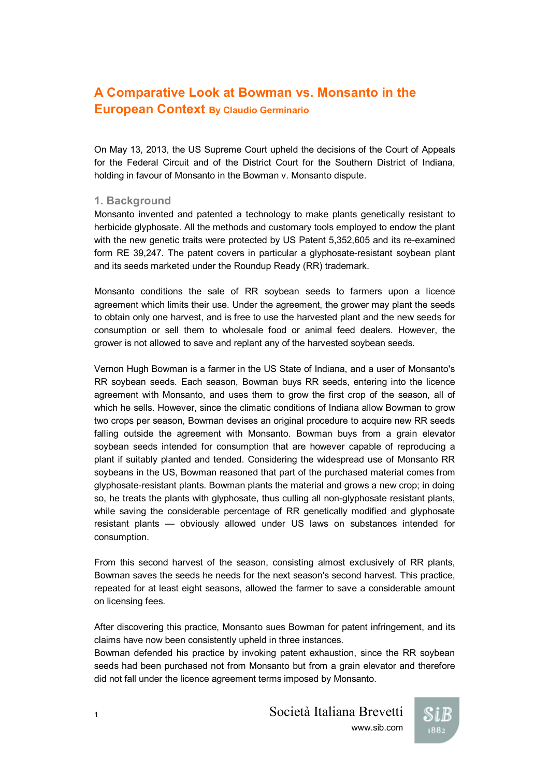# **A Comparative Look at Bowman vs. Monsanto in the European Context By Claudio Germinario**

On May 13, 2013, the US Supreme Court upheld the decisions of the Court of Appeals for the Federal Circuit and of the District Court for the Southern District of Indiana, holding in favour of Monsanto in the Bowman v. Monsanto dispute.

## **1. Background**

Monsanto invented and patented a technology to make plants genetically resistant to herbicide glyphosate. All the methods and customary tools employed to endow the plant with the new genetic traits were protected by US Patent 5,352,605 and its re-examined form RE 39,247. The patent covers in particular a glyphosate-resistant soybean plant and its seeds marketed under the Roundup Ready (RR) trademark.

Monsanto conditions the sale of RR soybean seeds to farmers upon a licence agreement which limits their use. Under the agreement, the grower may plant the seeds to obtain only one harvest, and is free to use the harvested plant and the new seeds for consumption or sell them to wholesale food or animal feed dealers. However, the grower is not allowed to save and replant any of the harvested soybean seeds.

Vernon Hugh Bowman is a farmer in the US State of Indiana, and a user of Monsanto's RR soybean seeds. Each season, Bowman buys RR seeds, entering into the licence agreement with Monsanto, and uses them to grow the first crop of the season, all of which he sells. However, since the climatic conditions of Indiana allow Bowman to grow two crops per season, Bowman devises an original procedure to acquire new RR seeds falling outside the agreement with Monsanto. Bowman buys from a grain elevator soybean seeds intended for consumption that are however capable of reproducing a plant if suitably planted and tended. Considering the widespread use of Monsanto RR soybeans in the US, Bowman reasoned that part of the purchased material comes from glyphosate-resistant plants. Bowman plants the material and grows a new crop; in doing so, he treats the plants with glyphosate, thus culling all non-glyphosate resistant plants, while saving the considerable percentage of RR genetically modified and glyphosate resistant plants — obviously allowed under US laws on substances intended for consumption.

From this second harvest of the season, consisting almost exclusively of RR plants, Bowman saves the seeds he needs for the next season's second harvest. This practice, repeated for at least eight seasons, allowed the farmer to save a considerable amount on licensing fees.

After discovering this practice, Monsanto sues Bowman for patent infringement, and its claims have now been consistently upheld in three instances.

Bowman defended his practice by invoking patent exhaustion, since the RR soybean seeds had been purchased not from Monsanto but from a grain elevator and therefore did not fall under the licence agreement terms imposed by Monsanto.

www.sib.com

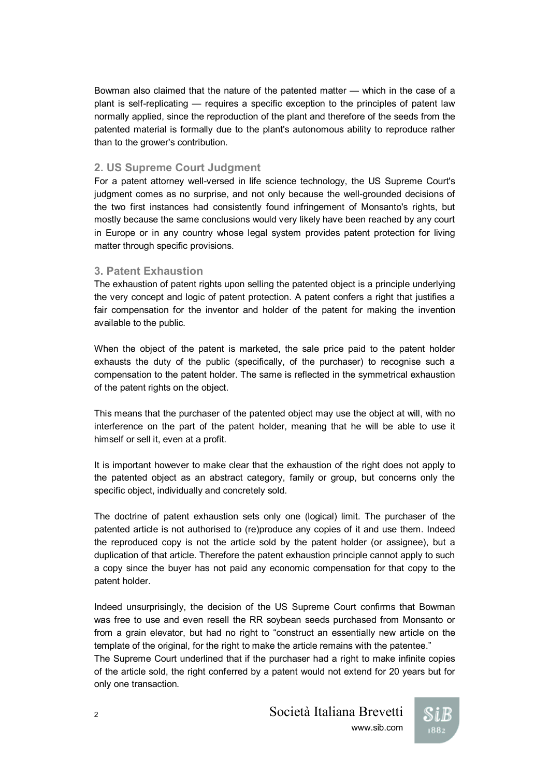Bowman also claimed that the nature of the patented matter — which in the case of a plant is self-replicating — requires a specific exception to the principles of patent law normally applied, since the reproduction of the plant and therefore of the seeds from the patented material is formally due to the plant's autonomous ability to reproduce rather than to the grower's contribution.

## **2. US Supreme Court Judgment**

For a patent attorney well-versed in life science technology, the US Supreme Court's judgment comes as no surprise, and not only because the well-grounded decisions of the two first instances had consistently found infringement of Monsanto's rights, but mostly because the same conclusions would very likely have been reached by any court in Europe or in any country whose legal system provides patent protection for living matter through specific provisions.

## **3. Patent Exhaustion**

The exhaustion of patent rights upon selling the patented object is a principle underlying the very concept and logic of patent protection. A patent confers a right that justifies a fair compensation for the inventor and holder of the patent for making the invention available to the public.

When the object of the patent is marketed, the sale price paid to the patent holder exhausts the duty of the public (specifically, of the purchaser) to recognise such a compensation to the patent holder. The same is reflected in the symmetrical exhaustion of the patent rights on the object.

This means that the purchaser of the patented object may use the object at will, with no interference on the part of the patent holder, meaning that he will be able to use it himself or sell it, even at a profit.

It is important however to make clear that the exhaustion of the right does not apply to the patented object as an abstract category, family or group, but concerns only the specific object, individually and concretely sold.

The doctrine of patent exhaustion sets only one (logical) limit. The purchaser of the patented article is not authorised to (re)produce any copies of it and use them. Indeed the reproduced copy is not the article sold by the patent holder (or assignee), but a duplication of that article. Therefore the patent exhaustion principle cannot apply to such a copy since the buyer has not paid any economic compensation for that copy to the patent holder.

Indeed unsurprisingly, the decision of the US Supreme Court confirms that Bowman was free to use and even resell the RR soybean seeds purchased from Monsanto or from a grain elevator, but had no right to "construct an essentially new article on the template of the original, for the right to make the article remains with the patentee."

The Supreme Court underlined that if the purchaser had a right to make infinite copies of the article sold, the right conferred by a patent would not extend for 20 years but for only one transaction.

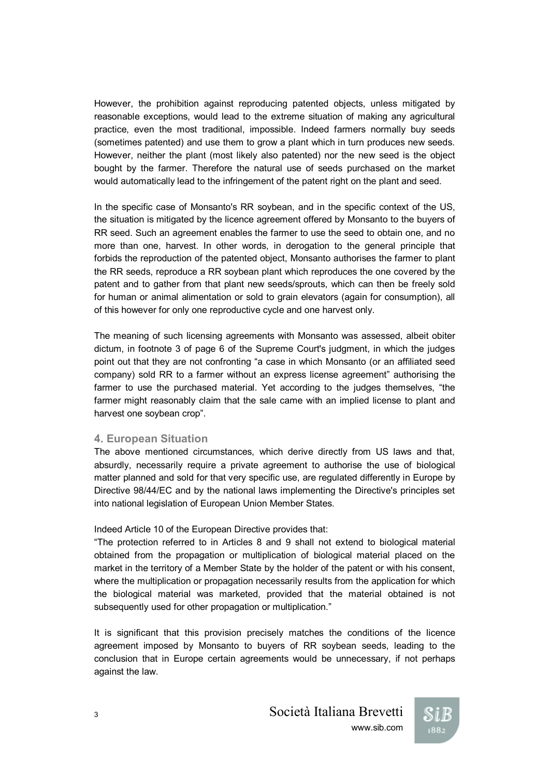However, the prohibition against reproducing patented objects, unless mitigated by reasonable exceptions, would lead to the extreme situation of making any agricultural practice, even the most traditional, impossible. Indeed farmers normally buy seeds (sometimes patented) and use them to grow a plant which in turn produces new seeds. However, neither the plant (most likely also patented) nor the new seed is the object bought by the farmer. Therefore the natural use of seeds purchased on the market would automatically lead to the infringement of the patent right on the plant and seed.

In the specific case of Monsanto's RR soybean, and in the specific context of the US, the situation is mitigated by the licence agreement offered by Monsanto to the buyers of RR seed. Such an agreement enables the farmer to use the seed to obtain one, and no more than one, harvest. In other words, in derogation to the general principle that forbids the reproduction of the patented object, Monsanto authorises the farmer to plant the RR seeds, reproduce a RR soybean plant which reproduces the one covered by the patent and to gather from that plant new seeds/sprouts, which can then be freely sold for human or animal alimentation or sold to grain elevators (again for consumption), all of this however for only one reproductive cycle and one harvest only.

The meaning of such licensing agreements with Monsanto was assessed, albeit obiter dictum, in footnote 3 of page 6 of the Supreme Court's judgment, in which the judges point out that they are not confronting "a case in which Monsanto (or an affiliated seed company) sold RR to a farmer without an express license agreement" authorising the farmer to use the purchased material. Yet according to the judges themselves, "the farmer might reasonably claim that the sale came with an implied license to plant and harvest one soybean crop".

#### **4. European Situation**

The above mentioned circumstances, which derive directly from US laws and that, absurdly, necessarily require a private agreement to authorise the use of biological matter planned and sold for that very specific use, are regulated differently in Europe by Directive 98/44/EC and by the national laws implementing the Directive's principles set into national legislation of European Union Member States.

Indeed Article 10 of the European Directive provides that:

"The protection referred to in Articles 8 and 9 shall not extend to biological material obtained from the propagation or multiplication of biological material placed on the market in the territory of a Member State by the holder of the patent or with his consent, where the multiplication or propagation necessarily results from the application for which the biological material was marketed, provided that the material obtained is not subsequently used for other propagation or multiplication."

It is significant that this provision precisely matches the conditions of the licence agreement imposed by Monsanto to buyers of RR soybean seeds, leading to the conclusion that in Europe certain agreements would be unnecessary, if not perhaps against the law.

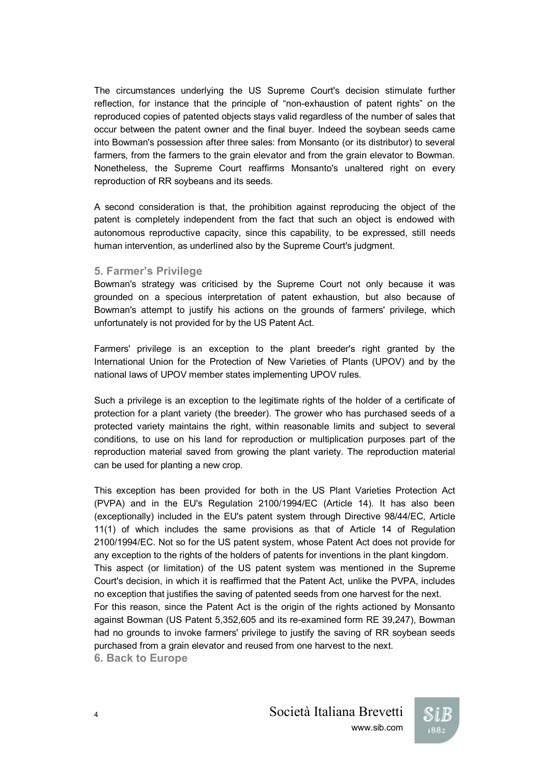The circumstances underlying the US Supreme Court's decision stimulate further reflection, for instance that the principle of "non-exhaustion of patent rights" on the reproduced copies of patented objects stays valid regardless of the number of sales that occur between the patent owner and the final buyer. Indeed the soybean seeds came into Bowman's possession after three sales: from Monsanto (or its distributor) to several farmers, from the farmers to the grain elevator and from the grain elevator to Bowman. Nonetheless, the Supreme Court reaffirms Monsanto's unaltered right on every reproduction of RR soybeans and its seeds.

A second consideration is that, the prohibition against reproducing the object of the patent is completely independent from the fact that such an object is endowed with autonomous reproductive capacity, since this capability, to be expressed, still needs human intervention, as underlined also by the Supreme Court's judgment.

#### **5. Farmer's Privilege**

Bowman's strategy was criticised by the Supreme Court not only because it was grounded on a specious interpretation of patent exhaustion, but also because of Bowman's attempt to justify his actions on the grounds of farmers' privilege, which unfortunately is not provided for by the US Patent Act.

Farmers' privilege is an exception to the plant breeder's right granted by the International Union for the Protection of New Varieties of Plants (UPOV) and by the national laws of UPOV member states implementing UPOV rules.

Such a privilege is an exception to the legitimate rights of the holder of a certificate of protection for a plant variety (the breeder). The grower who has purchased seeds of a protected variety maintains the right, within reasonable limits and subject to several conditions, to use on his land for reproduction or multiplication purposes part of the reproduction material saved from growing the plant variety. The reproduction material can be used for planting a new crop.

This exception has been provided for both in the US Plant Varieties Protection Act (PVPA) and in the EU's Regulation 2100/1994/EC (Article 14). It has also been (exceptionally) included in the EU's patent system through Directive 98/44/EC, Article 11(1) of which includes the same provisions as that of Article 14 of Regulation 2100/1994/EC. Not so for the US patent system, whose Patent Act does not provide for any exception to the rights of the holders of patents for inventions in the plant kingdom. This aspect (or limitation) of the US patent system was mentioned in the Supreme Court's decision, in which it is reaffirmed that the Patent Act, unlike the PVPA, includes no exception that justifies the saving of patented seeds from one harvest for the next. For this reason, since the Patent Act is the origin of the rights actioned by Monsanto against Bowman (US Patent 5,352,605 and its re-examined form RE 39,247), Bowman had no grounds to invoke farmers' privilege to justify the saving of RR soybean seeds purchased from a grain elevator and reused from one harvest to the next.

**6. Back to Europe**